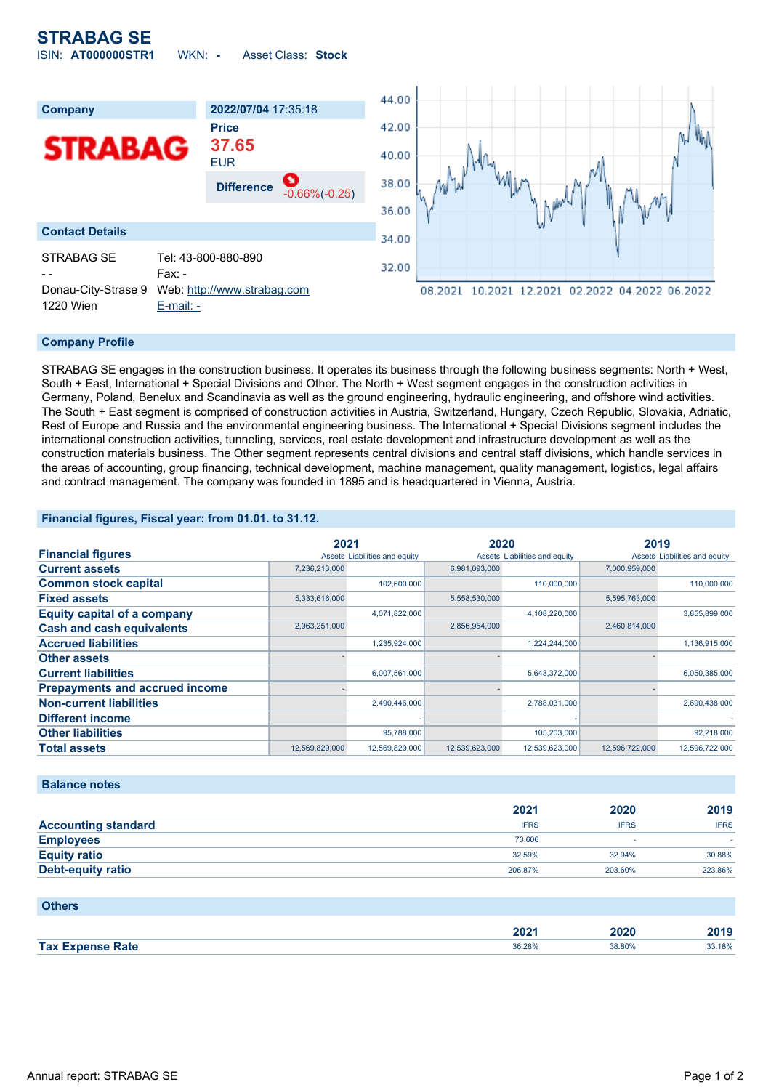

### **Company Profile**

STRABAG SE engages in the construction business. It operates its business through the following business segments: North + West, South + East, International + Special Divisions and Other. The North + West segment engages in the construction activities in Germany, Poland, Benelux and Scandinavia as well as the ground engineering, hydraulic engineering, and offshore wind activities. The South + East segment is comprised of construction activities in Austria, Switzerland, Hungary, Czech Republic, Slovakia, Adriatic, Rest of Europe and Russia and the environmental engineering business. The International + Special Divisions segment includes the international construction activities, tunneling, services, real estate development and infrastructure development as well as the construction materials business. The Other segment represents central divisions and central staff divisions, which handle services in the areas of accounting, group financing, technical development, machine management, quality management, logistics, legal affairs and contract management. The company was founded in 1895 and is headquartered in Vienna, Austria.

### **Financial figures, Fiscal year: from 01.01. to 31.12.**

|                                       | 2021           |                               | 2020           |                               | 2019           |                               |
|---------------------------------------|----------------|-------------------------------|----------------|-------------------------------|----------------|-------------------------------|
| <b>Financial figures</b>              |                | Assets Liabilities and equity |                | Assets Liabilities and equity |                | Assets Liabilities and equity |
| <b>Current assets</b>                 | 7,236,213,000  |                               | 6,981,093,000  |                               | 7,000,959,000  |                               |
| <b>Common stock capital</b>           |                | 102,600,000                   |                | 110,000,000                   |                | 110,000,000                   |
| <b>Fixed assets</b>                   | 5,333,616,000  |                               | 5,558,530,000  |                               | 5,595,763,000  |                               |
| <b>Equity capital of a company</b>    |                | 4,071,822,000                 |                | 4,108,220,000                 |                | 3,855,899,000                 |
| <b>Cash and cash equivalents</b>      | 2,963,251,000  |                               | 2,856,954,000  |                               | 2,460,814,000  |                               |
| <b>Accrued liabilities</b>            |                | 1,235,924,000                 |                | 1,224,244,000                 |                | 1,136,915,000                 |
| <b>Other assets</b>                   |                |                               |                |                               |                |                               |
| <b>Current liabilities</b>            |                | 6,007,561,000                 |                | 5,643,372,000                 |                | 6,050,385,000                 |
| <b>Prepayments and accrued income</b> |                |                               |                |                               |                |                               |
| <b>Non-current liabilities</b>        |                | 2,490,446,000                 |                | 2,788,031,000                 |                | 2,690,438,000                 |
| <b>Different income</b>               |                |                               |                |                               |                |                               |
| <b>Other liabilities</b>              |                | 95,788,000                    |                | 105,203,000                   |                | 92,218,000                    |
| <b>Total assets</b>                   | 12,569,829,000 | 12,569,829,000                | 12,539,623,000 | 12,539,623,000                | 12,596,722,000 | 12,596,722,000                |

### **Balance notes**

|                            | 2021        | 2020        | 2019        |
|----------------------------|-------------|-------------|-------------|
| <b>Accounting standard</b> | <b>IFRS</b> | <b>IFRS</b> | <b>IFRS</b> |
| <b>Employees</b>           | 73,606      |             |             |
| <b>Equity ratio</b>        | 32.59%      | 32.94%      | 30.88%      |
| Debt-equity ratio          | 206.87%     | 203.60%     | 223.86%     |

### **Others**

|                    | nnn.<br>ZVZ I | ,20         | 0.40<br>40 I J |
|--------------------|---------------|-------------|----------------|
| <b>Tax</b><br>Zate | 36.28%<br>.   | 38.80%<br>. | 33.18%<br>.    |